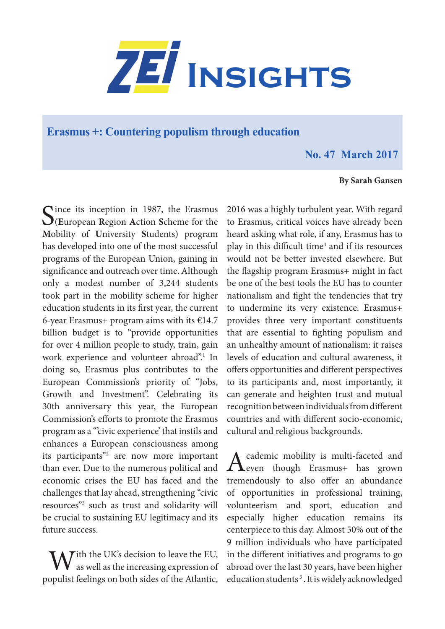

**Erasmus +: Countering populism through education**

## **No. 47 March 2017**

## **By Sarah Gansen**

 $\bigcap$  ince its inception in 1987, the Erasmus (**E**uropean **R**egion **A**ction **S**cheme for the **M**obility of **U**niversity **S**tudents) program has developed into one of the most successful programs of the European Union, gaining in significance and outreach over time. Although only a modest number of 3,244 students took part in the mobility scheme for higher education students in its first year, the current 6-year Erasmus+ program aims with its  $€14.7$ billion budget is to "provide opportunities for over 4 million people to study, train, gain work experience and volunteer abroad".<sup>1</sup> In doing so, Erasmus plus contributes to the European Commission's priority of "Jobs, Growth and Investment". Celebrating its 30th anniversary this year, the European Commission's efforts to promote the Erasmus program as a "'civic experience' that instils and enhances a European consciousness among its participants"2 are now more important than ever. Due to the numerous political and economic crises the EU has faced and the challenges that lay ahead, strengthening "civic resources"3 such as trust and solidarity will be crucial to sustaining EU legitimacy and its future success.

 $\overline{f}$  ith the UK's decision to leave the EU, as well as the increasing expression of populist feelings on both sides of the Atlantic,

2016 was a highly turbulent year. With regard to Erasmus, critical voices have already been heard asking what role, if any, Erasmus has to play in this difficult time<sup>4</sup> and if its resources would not be better invested elsewhere. But the flagship program Erasmus+ might in fact be one of the best tools the EU has to counter nationalism and fight the tendencies that try to undermine its very existence. Erasmus+ provides three very important constituents that are essential to fighting populism and an unhealthy amount of nationalism: it raises levels of education and cultural awareness, it offers opportunities and different perspectives to its participants and, most importantly, it can generate and heighten trust and mutual recognition between individuals from different countries and with different socio-economic, cultural and religious backgrounds.

Academic mobility is multi-faceted and<br>
even though Erasmus+ has grown tremendously to also offer an abundance of opportunities in professional training, volunteerism and sport, education and especially higher education remains its centerpiece to this day. Almost 50% out of the 9 million individuals who have participated in the different initiatives and programs to go abroad over the last 30 years, have been higher education students<sup>5</sup>. It is widely acknowledged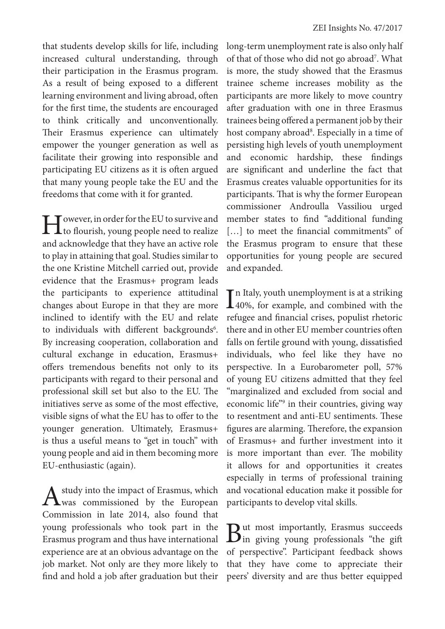that students develop skills for life, including increased cultural understanding, through their participation in the Erasmus program. As a result of being exposed to a different learning environment and living abroad, often for the first time, the students are encouraged to think critically and unconventionally. Their Erasmus experience can ultimately empower the younger generation as well as facilitate their growing into responsible and participating EU citizens as it is often argued that many young people take the EU and the freedoms that come with it for granted.

I Journal of the EU to survive and<br>to flourish, young people need to realize and acknowledge that they have an active role to play in attaining that goal. Studies similar to the one Kristine Mitchell carried out, provide evidence that the Erasmus+ program leads the participants to experience attitudinal changes about Europe in that they are more inclined to identify with the EU and relate to individuals with different backgrounds<sup>6</sup>. By increasing cooperation, collaboration and cultural exchange in education, Erasmus+ offers tremendous benefits not only to its participants with regard to their personal and professional skill set but also to the EU. The initiatives serve as some of the most effective, visible signs of what the EU has to offer to the younger generation. Ultimately, Erasmus+ is thus a useful means to "get in touch" with young people and aid in them becoming more EU-enthusiastic (again).

study into the impact of Erasmus, which was commissioned by the European Commission in late 2014, also found that young professionals who took part in the Erasmus program and thus have international experience are at an obvious advantage on the job market. Not only are they more likely to find and hold a job after graduation but their long-term unemployment rate is also only half of that of those who did not go abroad<sup>7</sup>. What is more, the study showed that the Erasmus trainee scheme increases mobility as the participants are more likely to move country after graduation with one in three Erasmus trainees being offered a permanent job by their host company abroad<sup>8</sup>. Especially in a time of persisting high levels of youth unemployment and economic hardship, these findings are significant and underline the fact that Erasmus creates valuable opportunities for its participants. That is why the former European commissioner Androulla Vassiliou urged member states to find "additional funding [...] to meet the financial commitments" of the Erasmus program to ensure that these opportunities for young people are secured and expanded.

 $\prod$ n Italy, youth unemployment is at a striking<br>40%, for example, and combined with the **140%**, for example, and combined with the refugee and financial crises, populist rhetoric there and in other EU member countries often falls on fertile ground with young, dissatisfied individuals, who feel like they have no perspective. In a Eurobarometer poll, 57% of young EU citizens admitted that they feel "marginalized and excluded from social and economic life"<sup>9</sup> in their countries, giving way to resentment and anti-EU sentiments. These figures are alarming. Therefore, the expansion of Erasmus+ and further investment into it is more important than ever. The mobility it allows for and opportunities it creates especially in terms of professional training and vocational education make it possible for participants to develop vital skills.

But most importantly, Erasmus succeeds in giving young professionals "the gift of perspective". Participant feedback shows that they have come to appreciate their peers' diversity and are thus better equipped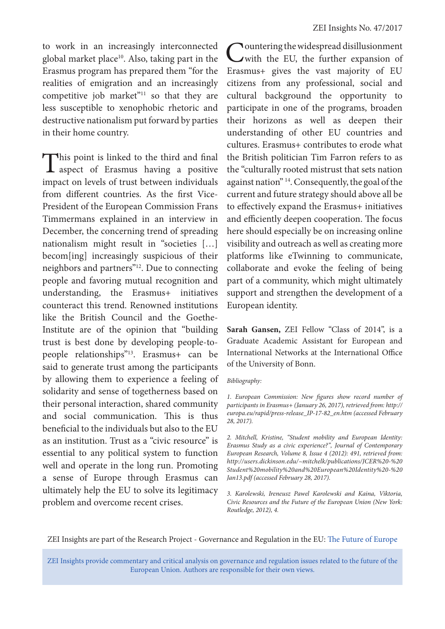to work in an increasingly interconnected global market place<sup>10</sup>. Also, taking part in the Erasmus program has prepared them "for the realities of emigration and an increasingly competitive job market"<sup>11</sup> so that they are less susceptible to xenophobic rhetoric and destructive nationalism put forward by parties in their home country.

This point is linked to the third and final **L** aspect of Erasmus having a positive impact on levels of trust between individuals from different countries. As the first Vice-President of the European Commission Frans Timmermans explained in an interview in December, the concerning trend of spreading nationalism might result in "societies […] becom[ing] increasingly suspicious of their neighbors and partners"12. Due to connecting people and favoring mutual recognition and understanding, the Erasmus+ initiatives counteract this trend. Renowned institutions like the British Council and the Goethe-Institute are of the opinion that "building trust is best done by developing people-topeople relationships"13. Erasmus+ can be said to generate trust among the participants by allowing them to experience a feeling of solidarity and sense of togetherness based on their personal interaction, shared community and social communication. This is thus beneficial to the individuals but also to the EU as an institution. Trust as a "civic resource" is essential to any political system to function well and operate in the long run. Promoting a sense of Europe through Erasmus can ultimately help the EU to solve its legitimacy problem and overcome recent crises.

Countering the widespread disillusionment with the EU, the further expansion of Erasmus+ gives the vast majority of EU citizens from any professional, social and cultural background the opportunity to participate in one of the programs, broaden their horizons as well as deepen their understanding of other EU countries and cultures. Erasmus+ contributes to erode what the British politician Tim Farron refers to as the "culturally rooted mistrust that sets nation against nation" 14. Consequently, the goal of the current and future strategy should above all be to effectively expand the Erasmus+ initiatives and efficiently deepen cooperation. The focus here should especially be on increasing online visibility and outreach as well as creating more platforms like eTwinning to communicate, collaborate and evoke the feeling of being part of a community, which might ultimately support and strengthen the development of a European identity.

**Sarah Gansen,** ZEI Fellow "Class of 2014", is a Graduate Academic Assistant for European and International Networks at the International Office of the University of Bonn.

## *Bibliography:*

*1. European Commission: New figures show record number of participants in Erasmus+ (January 26, 2017), retrieved from: http:// europa.eu/rapid/press-release\_IP-17-82\_en.htm (accessed February 28, 2017).*

*2. Mitchell, Kristine, "Student mobility and European Identity: Erasmus Study as a civic experience?", Journal of Contemporary European Research, Volume 8, Issue 4 (2012): 491, retrieved from: http://users.dickinson.edu/~mitchelk/publications/JCER%20-%20 Student%20mobility%20and%20European%20Identity%20-%20 Jan13.pdf (accessed February 28, 2017).*

*3. Karolewski, Ireneusz Pawel Karolewski and Kaina, Viktoria, Civic Resources and the Future of the European Union (New York: Routledge, 2012), 4.*

ZEI Insights are part of the Research Project - Governance and Regulation in the EU: The Future of Europe

ZEI Insights provide commentary and critical analysis on governance and regulation issues related to the future of the European Union. Authors are responsible for their own views.